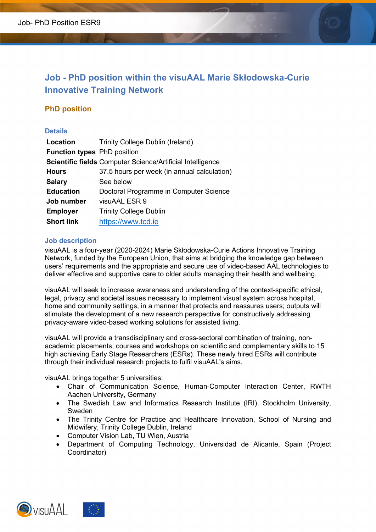# **Job - PhD position within the visuAAL Marie Skłodowska-Curie Innovative Training Network**

# **PhD position**

# **Details**

| Location                           | Trinity College Dublin (Ireland)                           |
|------------------------------------|------------------------------------------------------------|
| <b>Function types</b> PhD position |                                                            |
|                                    | Scientific fields Computer Science/Artificial Intelligence |
| <b>Hours</b>                       | 37.5 hours per week (in annual calculation)                |
| <b>Salary</b>                      | See below                                                  |
| <b>Education</b>                   | Doctoral Programme in Computer Science                     |
| Job number                         | visuAAL ESR 9                                              |
| <b>Employer</b>                    | <b>Trinity College Dublin</b>                              |
| <b>Short link</b>                  | https://www.tcd.ie                                         |

# **Job description**

visuAAL is a four-year (2020-2024) Marie Skłodowska-Curie Actions Innovative Training Network, funded by the European Union, that aims at bridging the knowledge gap between users' requirements and the appropriate and secure use of video-based AAL technologies to deliver effective and supportive care to older adults managing their health and wellbeing.

visuAAL will seek to increase awareness and understanding of the context-specific ethical, legal, privacy and societal issues necessary to implement visual system across hospital, home and community settings, in a manner that protects and reassures users; outputs will stimulate the development of a new research perspective for constructively addressing privacy-aware video-based working solutions for assisted living.

visuAAL will provide a transdisciplinary and cross-sectoral combination of training, nonacademic placements, courses and workshops on scientific and complementary skills to 15 high achieving Early Stage Researchers (ESRs). These newly hired ESRs will contribute through their individual research projects to fulfil visuAAL's aims.

visuAAL brings together 5 universities:

- Chair of Communication Science, Human-Computer Interaction Center, RWTH Aachen University, Germany
- The Swedish Law and Informatics Research Institute (IRI), Stockholm University, Sweden
- The Trinity Centre for Practice and Healthcare Innovation, School of Nursing and Midwifery, Trinity College Dublin, Ireland
- Computer Vision Lab, TU Wien, Austria
- Department of Computing Technology, Universidad de Alicante, Spain (Project Coordinator)

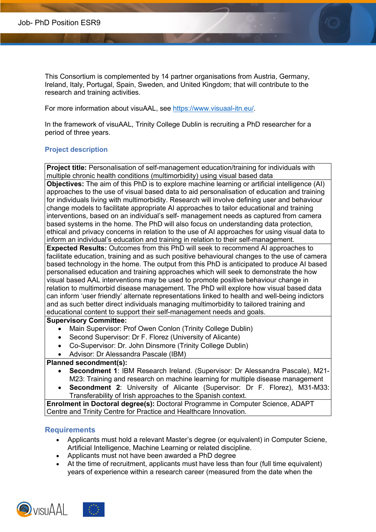This Consortium is complemented by 14 partner organisations from Austria, Germany, Ireland, Italy, Portugal, Spain, Sweden, and United Kingdom; that will contribute to the research and training activities.

For more information about visuAAL, see https://www.visuaal-itn.eu/.

In the framework of visuAAL, Trinity College Dublin is recruiting a PhD researcher for a period of three years.

#### **Project description**

**Project title:** Personalisation of self-management education/training for individuals with multiple chronic health conditions (multimorbidity) using visual based data

**Objectives:** The aim of this PhD is to explore machine learning or artificial intelligence (AI) approaches to the use of visual based data to aid personalisation of education and training for individuals living with multimorbidity. Research will involve defining user and behaviour change models to facilitate appropriate AI approaches to tailor educational and training interventions, based on an individual's self- management needs as captured from camera based systems in the home. The PhD will also focus on understanding data protection, ethical and privacy concerns in relation to the use of AI approaches for using visual data to inform an individual's education and training in relation to their self-management.

**Expected Results:** Outcomes from this PhD will seek to recommend AI approaches to facilitate education, training and as such positive behavioural changes to the use of camera based technology in the home. The output from this PhD is anticipated to produce AI based personalised education and training approaches which will seek to demonstrate the how visual based AAL interventions may be used to promote positive behaviour change in relation to multimorbid disease management. The PhD will explore how visual based data can inform 'user friendly' alternate representations linked to health and well-being indictors and as such better direct individuals managing multimorbidity to tailored training and educational content to support their self-management needs and goals.

#### **Supervisory Committee:**

- Main Supervisor: Prof Owen Conlon (Trinity College Dublin)
- Second Supervisor: Dr F. Florez (University of Alicante)
- Co-Supervisor: Dr. John Dinsmore (Trinity College Dublin)
- Advisor: Dr Alessandra Pascale (IBM)

# **Planned secondment(s):**

- **Secondment 1**: IBM Research Ireland. (Supervisor: Dr Alessandra Pascale), M21- M23: Training and research on machine learning for multiple disease management
- **Secondment 2**: University of Alicante (Supervisor: Dr F. Florez), M31-M33: Transferability of Irish approaches to the Spanish context.

**Enrolment in Doctoral degree(s):** Doctoral Programme in Computer Science, ADAPT Centre and Trinity Centre for Practice and Healthcare Innovation.

#### **Requirements**

- Applicants must hold a relevant Master's degree (or equivalent) in Computer Sciene, Artificial Intelligence, Machine Learning or related discipline.
- Applicants must not have been awarded a PhD degree
- At the time of recruitment, applicants must have less than four (full time equivalent) years of experience within a research career (measured from the date when the

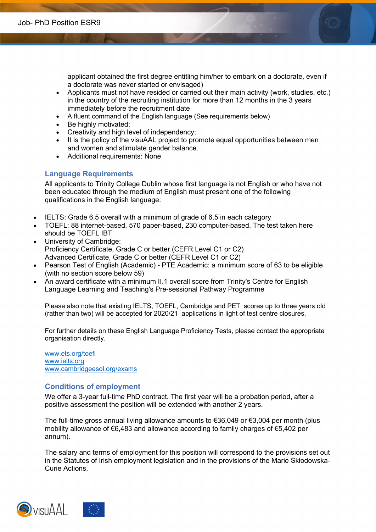applicant obtained the first degree entitling him/her to embark on a doctorate, even if a doctorate was never started or envisaged)

- Applicants must not have resided or carried out their main activity (work, studies, etc.) in the country of the recruiting institution for more than 12 months in the 3 years immediately before the recruitment date
- A fluent command of the English language (See requirements below)
- Be highly motivated;
- Creativity and high level of independency;
- It is the policy of the visuAAL project to promote equal opportunities between men and women and stimulate gender balance.
- Additional requirements: None

# **Language Requirements**

All applicants to Trinity College Dublin whose first language is not English or who have not been educated through the medium of English must present one of the following qualifications in the English language:

- IELTS: Grade 6.5 overall with a minimum of grade of 6.5 in each category
- TOEFL: 88 internet-based, 570 paper-based, 230 computer-based. The test taken here should be TOEFL IBT
- University of Cambridge: Proficiency Certificate, Grade C or better (CEFR Level C1 or C2) Advanced Certificate, Grade C or better (CEFR Level C1 or C2)
- Pearson Test of English (Academic) PTE Academic: a minimum score of 63 to be eligible (with no section score below 59)
- An award certificate with a minimum II.1 overall score from Trinity's Centre for English Language Learning and Teaching's Pre-sessional Pathway Programme

Please also note that existing IELTS, TOEFL, Cambridge and PET scores up to three years old (rather than two) will be accepted for 2020/21 applications in light of test centre closures.

For further details on these English Language Proficiency Tests, please contact the appropriate organisation directly.

www.ets.org/toefl www.ielts.org www.cambridgeesol.org/exams

# **Conditions of employment**

We offer a 3-year full-time PhD contract. The first year will be a probation period, after a positive assessment the position will be extended with another 2 years.

The full-time gross annual living allowance amounts to €36,049 or €3,004 per month (plus mobility allowance of €6,483 and allowance according to family charges of €5,402 per annum).

The salary and terms of employment for this position will correspond to the provisions set out in the Statutes of Irish employment legislation and in the provisions of the Marie Skłodowska-Curie Actions.

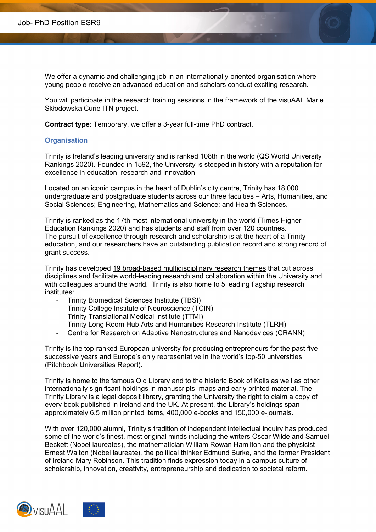We offer a dynamic and challenging job in an internationally-oriented organisation where young people receive an advanced education and scholars conduct exciting research.

You will participate in the research training sessions in the framework of the visuAAL Marie Skłodowska Curie ITN project.

**Contract type**: Temporary, we offer a 3-year full-time PhD contract.

#### **Organisation**

Trinity is Ireland's leading university and is ranked 108th in the world (QS World University Rankings 2020). Founded in 1592, the University is steeped in history with a reputation for excellence in education, research and innovation.

Located on an iconic campus in the heart of Dublin's city centre, Trinity has 18,000 undergraduate and postgraduate students across our three faculties – Arts, Humanities, and Social Sciences; Engineering, Mathematics and Science; and Health Sciences.

Trinity is ranked as the 17th most international university in the world (Times Higher Education Rankings 2020) and has students and staff from over 120 countries. The pursuit of excellence through research and scholarship is at the heart of a Trinity education, and our researchers have an outstanding publication record and strong record of grant success.

Trinity has developed 19 broad-based multidisciplinary research themes that cut across disciplines and facilitate world-leading research and collaboration within the University and with colleagues around the world. Trinity is also home to 5 leading flagship research institutes:

- Trinity Biomedical Sciences Institute (TBSI)
- Trinity College Institute of Neuroscience (TCIN)
- Trinity Translational Medical Institute (TTMI)
- Trinity Long Room Hub Arts and Humanities Research Institute (TLRH)
- Centre for Research on Adaptive Nanostructures and Nanodevices (CRANN)

Trinity is the top-ranked European university for producing entrepreneurs for the past five successive years and Europe's only representative in the world's top-50 universities (Pitchbook Universities Report).

Trinity is home to the famous Old Library and to the historic Book of Kells as well as other internationally significant holdings in manuscripts, maps and early printed material. The Trinity Library is a legal deposit library, granting the University the right to claim a copy of every book published in Ireland and the UK. At present, the Library's holdings span approximately 6.5 million printed items, 400,000 e-books and 150,000 e-journals.

With over 120,000 alumni, Trinity's tradition of independent intellectual inquiry has produced some of the world's finest, most original minds including the writers Oscar Wilde and Samuel Beckett (Nobel laureates), the mathematician William Rowan Hamilton and the physicist Ernest Walton (Nobel laureate), the political thinker Edmund Burke, and the former President of Ireland Mary Robinson. This tradition finds expression today in a campus culture of scholarship, innovation, creativity, entrepreneurship and dedication to societal reform.

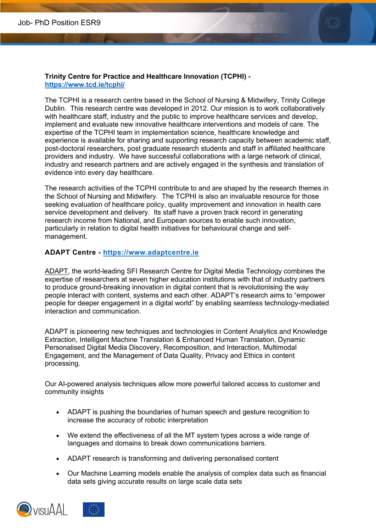# **Trinity Centre for Practice and Healthcare Innovation (TCPHI) https://www.tcd.ie/tcphi/**

The TCPHI is a research centre based in the School of Nursing & Midwifery, Trinity College Dublin. This research centre was developed in 2012. Our mission is to work collaboratively with healthcare staff, industry and the public to improve healthcare services and develop, implement and evaluate new innovative healthcare interventions and models of care. The expertise of the TCPHI team in implementation science, healthcare knowledge and experience is available for sharing and supporting research capacity between academic staff, post-doctoral researchers, post graduate research students and staff in affiliated healthcare providers and industry. We have successful collaborations with a large network of clinical, industry and research partners and are actively engaged in the synthesis and translation of evidence into every day healthcare.

The research activities of the TCPHI contribute to and are shaped by the research themes in the School of Nursing and Midwifery. The TCPHI is also an invaluable resource for those seeking evaluation of healthcare policy, quality improvement and innovation in health care service development and delivery. Its staff have a proven track record in generating research income from National, and European sources to enable such innovation, particularly in relation to digital health initiatives for behavioural change and selfmanagement.

# **ADAPT Centre - https://www.adaptcentre.ie**

ADAPT, the world-leading SFI Research Centre for Digital Media Technology combines the expertise of researchers at seven higher education institutions with that of industry partners to produce ground-breaking innovation in digital content that is revolutionising the way people interact with content, systems and each other. ADAPT's research aims to "empower people for deeper engagement in a digital world" by enabling seamless technology-mediated interaction and communication.

ADAPT is pioneering new techniques and technologies in Content Analytics and Knowledge Extraction, Intelligent Machine Translation & Enhanced Human Translation, Dynamic Personalised Digital Media Discovery, Recomposition, and Interaction, Multimodal Engagement, and the Management of Data Quality, Privacy and Ethics in content processing.

Our AI-powered analysis techniques allow more powerful tailored access to customer and community insights

- ADAPT is pushing the boundaries of human speech and gesture recognition to increase the accuracy of robotic interpretation
- We extend the effectiveness of all the MT system types across a wide range of languages and domains to break down communications barriers.
- ADAPT research is transforming and delivering personalised content
- Our Machine Learning models enable the analysis of complex data such as financial data sets giving accurate results on large scale data sets

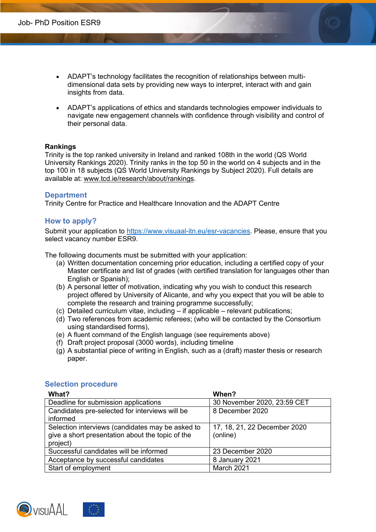- ADAPT's technology facilitates the recognition of relationships between multidimensional data sets by providing new ways to interpret, interact with and gain insights from data.
- ADAPT's applications of ethics and standards technologies empower individuals to navigate new engagement channels with confidence through visibility and control of their personal data.

#### **Rankings**

Trinity is the top ranked university in Ireland and ranked 108th in the world (QS World University Rankings 2020). Trinity ranks in the top 50 in the world on 4 subjects and in the top 100 in 18 subjects (QS World University Rankings by Subject 2020). Full details are available at: www.tcd.ie/research/about/rankings.

# **Department**

Trinity Centre for Practice and Healthcare Innovation and the ADAPT Centre

# **How to apply?**

Submit your application to https://www.visuaal-itn.eu/esr-vacancies. Please, ensure that you select vacancy number ESR9.

The following documents must be submitted with your application:

- (a) Written documentation concerning prior education, including a certified copy of your Master certificate and list of grades (with certified translation for languages other than English or Spanish);
- (b) A personal letter of motivation, indicating why you wish to conduct this research project offered by University of Alicante, and why you expect that you will be able to complete the research and training programme successfully;
- (c) Detailed curriculum vitae, including if applicable relevant publications;
- (d) Two references from academic referees; (who will be contacted by the Consortium using standardised forms),
- (e) A fluent command of the English language (see requirements above)
- (f) Draft project proposal (3000 words), including timeline
- $\alpha$ ) A substantial piece of writing in English, such as a (draft) master thesis or research paper.

| What?                                            | When?                        |
|--------------------------------------------------|------------------------------|
| Deadline for submission applications             | 30 November 2020, 23:59 CET  |
| Candidates pre-selected for interviews will be   | 8 December 2020              |
| informed                                         |                              |
| Selection interviews (candidates may be asked to | 17, 18, 21, 22 December 2020 |
| give a short presentation about the topic of the | (online)                     |
| project)                                         |                              |
| Successful candidates will be informed           | 23 December 2020             |
| Acceptance by successful candidates              | 8 January 2021               |
| Start of employment                              | March 2021                   |

# **Selection procedure**